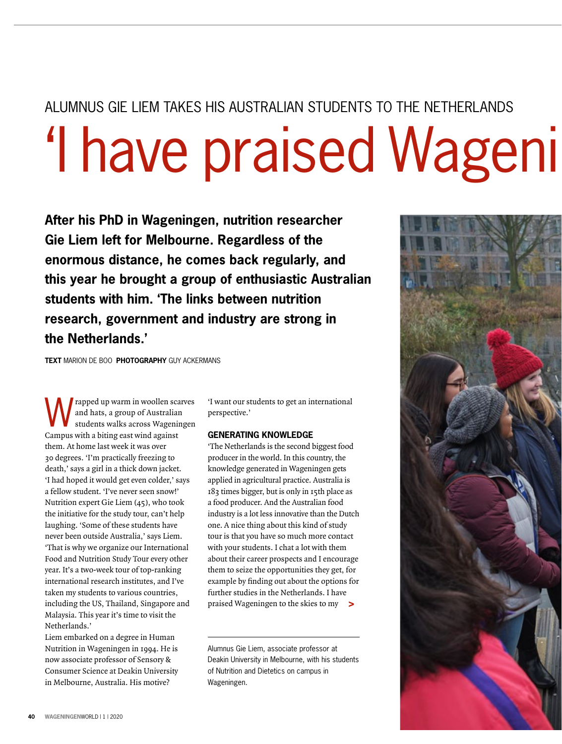## ALUMNUS GIF LIEM TAKES HIS AUSTRALIAN STUDENTS TO THE NETHERLANDS 'I have praised Wageni

**After his PhD in Wageningen, nutrition researcher Gie Liem left for Melbourne. Regardless of the enormous distance, he comes back regularly, and this year he brought a group of enthusiastic Australian students with him. 'The links between nutrition research, government and industry are strong in the Netherlands.'**

**TEXT** MARION DE BOO **PHOTOGRAPHY** GUY ACKERMANS

We rapped up warm in woollen scarves<br>
students walks across Wageningen<br>
Summarith a history of the print and hats, a group of Australian Campus with a biting east wind against them. At home last week it was over 30 degrees. 'I'm practically freezing to death,' says a girl in a thick down jacket. 'I had hoped it would get even colder,' says a fellow student. 'I've never seen snow!' Nutrition expert Gie Liem (45), who took the initiative for the study tour, can't help laughing. 'Some of these students have never been outside Australia,' says Liem. 'That is why we organize our International Food and Nutrition Study Tour every other year. It's a two-week tour of top-ranking international research institutes, and I've taken my students to various countries, including the US, Thailand, Singapore and Malaysia. This year it's time to visit the Netherlands.'

Liem embarked on a degree in Human Nutrition in Wageningen in 1994. He is now associate professor of Sensory & Consumer Science at Deakin University in Melbourne, Australia. His motive?

'I want our students to get an international perspective.'

#### **GENERATING KNOWLEDGE**

**>** praised Wageningen to the skies to my 'The Netherlands is the second biggest food producer in the world. In this country, the knowledge generated in Wageningen gets applied in agricultural practice. Australia is 183 times bigger, but is only in 15th place as a food producer. And the Australian food industry is a lot less innovative than the Dutch one. A nice thing about this kind of study tour is that you have so much more contact with your students. I chat a lot with them about their career prospects and I encourage them to seize the opportunities they get, for example by finding out about the options for further studies in the Netherlands. I have

Alumnus Gie Liem, associate professor at Deakin University in Melbourne, with his students of Nutrition and Dietetics on campus in Wageningen.

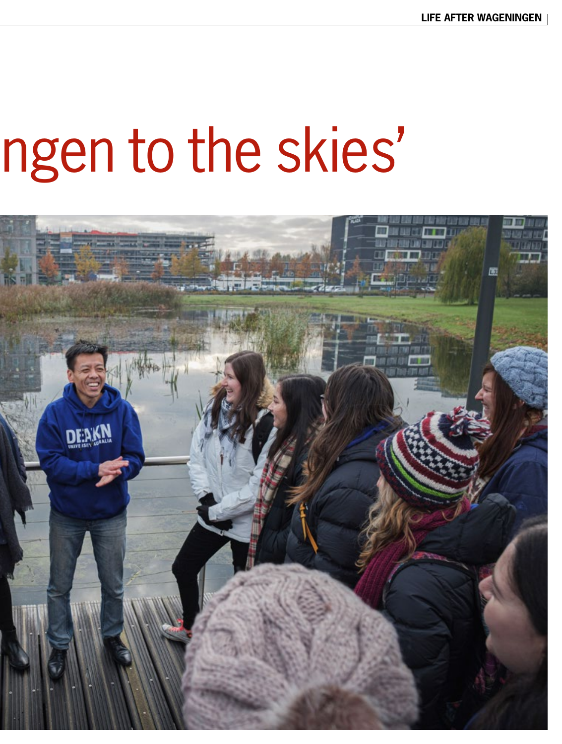# ngen to the skies'

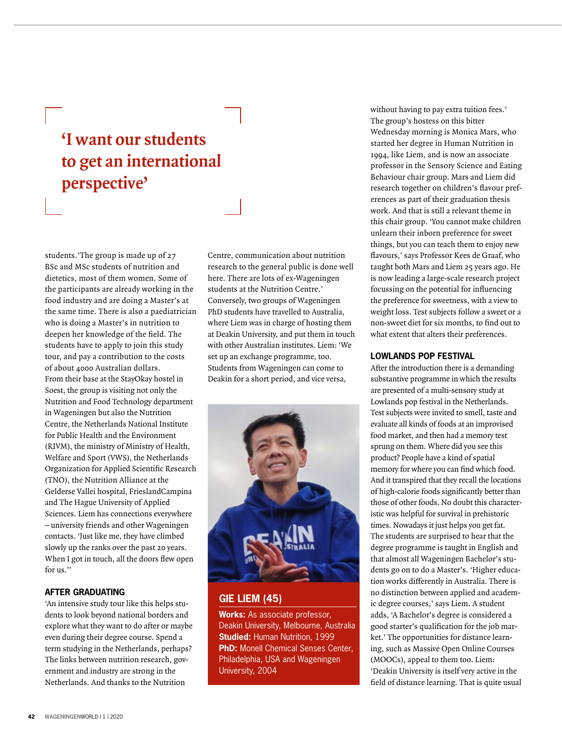### **'I want our students to get an international perspective'**

students.'The group is made up of 27 BSc and MSc students of nutrition and dietetics, most of them women. Some of the participants are already working in the food industry and are doing a Master's at the same time. There is also a paediatrician who is doing a Master's in nutrition to deepen her knowledge of the field. The students have to apply to join this study tour, and pay a contribution to the costs of about 4000 Australian dollars. From their base at the StayOkay hostel in Soest, the group is visiting not only the Nutrition and Food Technology department in Wageningen but also the Nutrition Centre, the Netherlands National Institute for Public Health and the Environment (RIVM), the ministry of Ministry of Health, Welfare and Sport (VWS), the Netherlands Organization for Applied Scientific Research (TNO), the Nutrition Alliance at the Gelderse Vallei hospital, FrieslandCampina and The Hague University of Applied Sciences. Liem has connections everywhere – university friends and other Wageningen contacts. 'Just like me, they have climbed slowly up the ranks over the past 20 years. When I got in touch, all the doors flew open for us.''

#### **AFTER GRADUATING**

'An intensive study tour like this helps students to look beyond national borders and explore what they want to do after or maybe even during their degree course. Spend a term studying in the Netherlands, perhaps? The links between nutrition research, government and industry are strong in the Netherlands. And thanks to the Nutrition

Centre, communication about nutrition research to the general public is done well here. There are lots of ex-Wageningen students at the Nutrition Centre.' Conversely, two groups of Wageningen PhD students have travelled to Australia, where Liem was in charge of hosting them at Deakin University, and put them in touch with other Australian institutes. Liem: 'We set up an exchange programme, too. Students from Wageningen can come to Deakin for a short period, and vice versa,



#### **GIE LIEM (45)**

**Works:** As associate professor, Deakin University, Melbourne, Australia **Studied:** Human Nutrition, 1999 **PhD:** Monell Chemical Senses Center, Philadelphia, USA and Wageningen University, 2004

without having to pay extra tuition fees.' The group's hostess on this bitter Wednesday morning is Monica Mars, who started her degree in Human Nutrition in 1994, like Liem, and is now an associate professor in the Sensory Science and Eating Behaviour chair group. Mars and Liem did research together on children's flavour preferences as part of their graduation thesis work. And that is still a relevant theme in this chair group. 'You cannot make children unlearn their inborn preference for sweet things, but you can teach them to enjoy new flavours,' says Professor Kees de Graaf, who taught both Mars and Liem 25 years ago. He is now leading a large-scale research project focussing on the potential for influencing the preference for sweetness, with a view to weight loss. Test subjects follow a sweet or a non-sweet diet for six months, to find out to what extent that alters their preferences.

#### **LOWLANDS POP FESTIVAL**

After the introduction there is a demanding substantive programme in which the results are presented of a multi-sensory study at Lowlands pop festival in the Netherlands. Test subjects were invited to smell, taste and evaluate all kinds of foods at an improvised food market, and then had a memory test sprung on them. Where did you see this product? People have a kind of spatial memory for where you can find which food. And it transpired that they recall the locations of high-calorie foods significantly better than those of other foods. No doubt this characteristic was helpful for survival in prehistoric times. Nowadays it just helps you get fat. The students are surprised to hear that the degree programme is taught in English and that almost all Wageningen Bachelor's students go on to do a Master's. 'Higher education works differently in Australia. There is no distinction between applied and academic degree courses,' says Liem. A student adds, 'A Bachelor's degree is considered a good starter's qualification for the job market.' The opportunities for distance learning, such as Massive Open Online Courses (MOOCs), appeal to them too. Liem: 'Deakin University is itself very active in the field of distance learning. That is quite usual